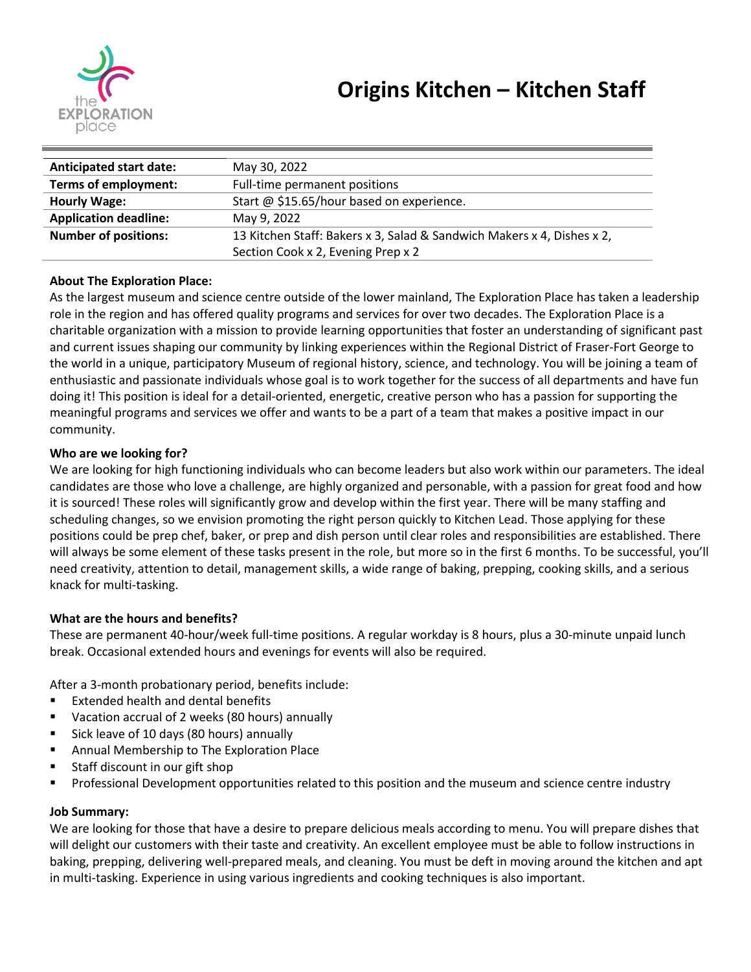

| <b>Anticipated start date:</b> | May 30, 2022                                                           |
|--------------------------------|------------------------------------------------------------------------|
| Terms of employment:           | Full-time permanent positions                                          |
| <b>Hourly Wage:</b>            | Start @ \$15.65/hour based on experience.                              |
| <b>Application deadline:</b>   | May 9, 2022                                                            |
| <b>Number of positions:</b>    | 13 Kitchen Staff: Bakers x 3, Salad & Sandwich Makers x 4, Dishes x 2, |
|                                | Section Cook x 2, Evening Prep x 2                                     |

### **About The Exploration Place:**

As the largest museum and science centre outside of the lower mainland, The Exploration Place has taken a leadership role in the region and has offered quality programs and services for over two decades. The Exploration Place is a charitable organization with a mission to provide learning opportunities that foster an understanding of significant past and current issues shaping our community by linking experiences within the Regional District of Fraser-Fort George to the world in a unique, participatory Museum of regional history, science, and technology. You will be joining a team of enthusiastic and passionate individuals whose goal is to work together for the success of all departments and have fun doing it! This position is ideal for a detail-oriented, energetic, creative person who has a passion for supporting the meaningful programs and services we offer and wants to be a part of a team that makes a positive impact in our community.

## **Who are we looking for?**

We are looking for high functioning individuals who can become leaders but also work within our parameters. The ideal candidates are those who love a challenge, are highly organized and personable, with a passion for great food and how it is sourced! These roles will significantly grow and develop within the first year. There will be many staffing and scheduling changes, so we envision promoting the right person quickly to Kitchen Lead. Those applying for these positions could be prep chef, baker, or prep and dish person until clear roles and responsibilities are established. There will always be some element of these tasks present in the role, but more so in the first 6 months. To be successful, you'll need creativity, attention to detail, management skills, a wide range of baking, prepping, cooking skills, and a serious knack for multi-tasking.

# **What are the hours and benefits?**

These are permanent 40-hour/week full-time positions. A regular workday is 8 hours, plus a 30-minute unpaid lunch break. Occasional extended hours and evenings for events will also be required.

After a 3-month probationary period, benefits include:

- Extended health and dental benefits
- Vacation accrual of 2 weeks (80 hours) annually
- Sick leave of 10 days (80 hours) annually
- Annual Membership to The Exploration Place
- Staff discount in our gift shop
- Professional Development opportunities related to this position and the museum and science centre industry

### **Job Summary:**

We are looking for those that have a desire to prepare delicious meals according to menu. You will prepare dishes that will delight our customers with their taste and creativity. An excellent employee must be able to follow instructions in baking, prepping, delivering well-prepared meals, and cleaning. You must be deft in moving around the kitchen and apt in multi-tasking. Experience in using various ingredients and cooking techniques is also important.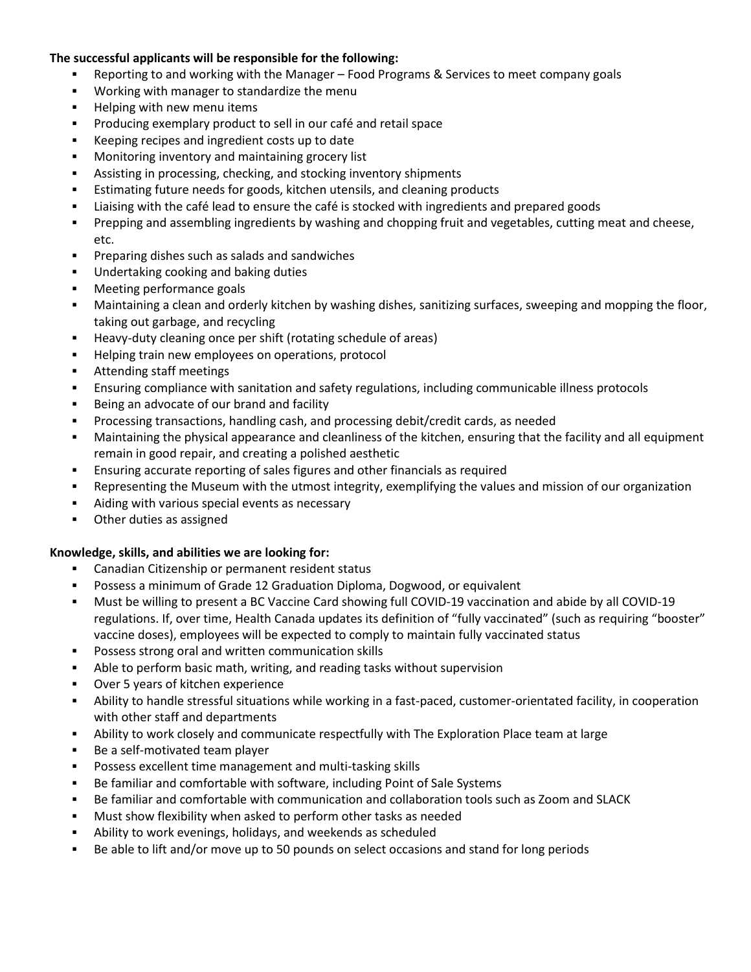## **The successful applicants will be responsible for the following:**

- Reporting to and working with the Manager Food Programs & Services to meet company goals
- Working with manager to standardize the menu
- Helping with new menu items
- Producing exemplary product to sell in our café and retail space
- Keeping recipes and ingredient costs up to date
- Monitoring inventory and maintaining grocery list
- Assisting in processing, checking, and stocking inventory shipments
- **Estimating future needs for goods, kitchen utensils, and cleaning products**
- Liaising with the café lead to ensure the café is stocked with ingredients and prepared goods
- Prepping and assembling ingredients by washing and chopping fruit and vegetables, cutting meat and cheese, etc.
- Preparing dishes such as salads and sandwiches
- Undertaking cooking and baking duties
- Meeting performance goals
- Maintaining a clean and orderly kitchen by washing dishes, sanitizing surfaces, sweeping and mopping the floor, taking out garbage, and recycling
- Heavy-duty cleaning once per shift (rotating schedule of areas)
- Helping train new employees on operations, protocol
- Attending staff meetings
- **•** Ensuring compliance with sanitation and safety regulations, including communicable illness protocols
- Being an advocate of our brand and facility
- Processing transactions, handling cash, and processing debit/credit cards, as needed
- Maintaining the physical appearance and cleanliness of the kitchen, ensuring that the facility and all equipment remain in good repair, and creating a polished aesthetic
- **Ensuring accurate reporting of sales figures and other financials as required**
- Representing the Museum with the utmost integrity, exemplifying the values and mission of our organization
- Aiding with various special events as necessary
- Other duties as assigned

### **Knowledge, skills, and abilities we are looking for:**

- Canadian Citizenship or permanent resident status
- Possess a minimum of Grade 12 Graduation Diploma, Dogwood, or equivalent
- Must be willing to present a BC Vaccine Card showing full COVID-19 vaccination and abide by all COVID-19 regulations. If, over time, Health Canada updates its definition of "fully vaccinated" (such as requiring "booster" vaccine doses), employees will be expected to comply to maintain fully vaccinated status
- Possess strong oral and written communication skills
- Able to perform basic math, writing, and reading tasks without supervision
- Over 5 years of kitchen experience
- Ability to handle stressful situations while working in a fast-paced, customer-orientated facility, in cooperation with other staff and departments
- **•** Ability to work closely and communicate respectfully with The Exploration Place team at large
- Be a self-motivated team player
- Possess excellent time management and multi-tasking skills
- Be familiar and comfortable with software, including Point of Sale Systems
- Be familiar and comfortable with communication and collaboration tools such as Zoom and SLACK
- Must show flexibility when asked to perform other tasks as needed
- Ability to work evenings, holidays, and weekends as scheduled
- Be able to lift and/or move up to 50 pounds on select occasions and stand for long periods